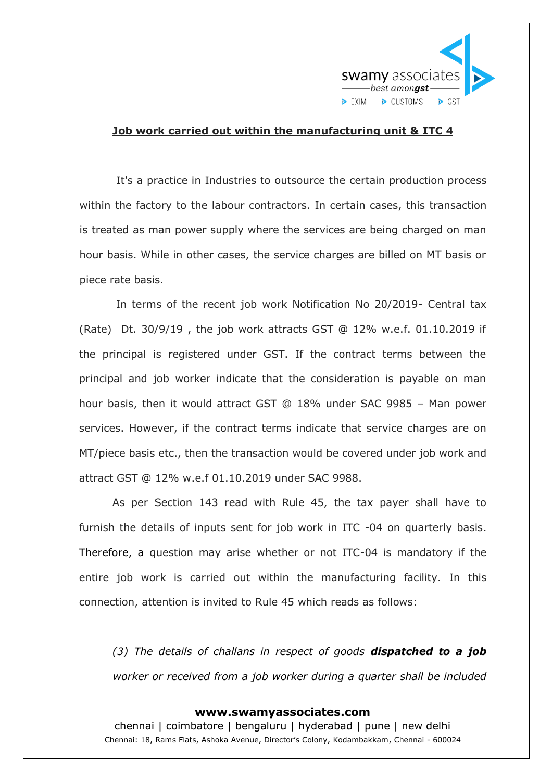

## **Job work carried out within the manufacturing unit & ITC 4**

It's a practice in Industries to outsource the certain production process within the factory to the labour contractors. In certain cases, this transaction is treated as man power supply where the services are being charged on man hour basis. While in other cases, the service charges are billed on MT basis or piece rate basis.

In terms of the recent job work Notification No 20/2019- Central tax (Rate) Dt. 30/9/19 , the job work attracts GST @ 12% w.e.f. 01.10.2019 if the principal is registered under GST. If the contract terms between the principal and job worker indicate that the consideration is payable on man hour basis, then it would attract GST @ 18% under SAC 9985 – Man power services. However, if the contract terms indicate that service charges are on MT/piece basis etc., then the transaction would be covered under job work and attract GST @ 12% w.e.f 01.10.2019 under SAC 9988.

As per Section 143 read with Rule 45, the tax payer shall have to furnish the details of inputs sent for job work in ITC -04 on quarterly basis. Therefore, a question may arise whether or not ITC-04 is mandatory if the entire job work is carried out within the manufacturing facility. In this connection, attention is invited to Rule 45 which reads as follows:

*(3) The details of challans in respect of goods dispatched to a job worker or received from a job worker during a quarter shall be included* 

## **www.swamyassociates.com**

chennai | coimbatore | bengaluru | hyderabad | pune | new delhi Chennai: 18, Rams Flats, Ashoka Avenue, Director's Colony, Kodambakkam, Chennai - 600024